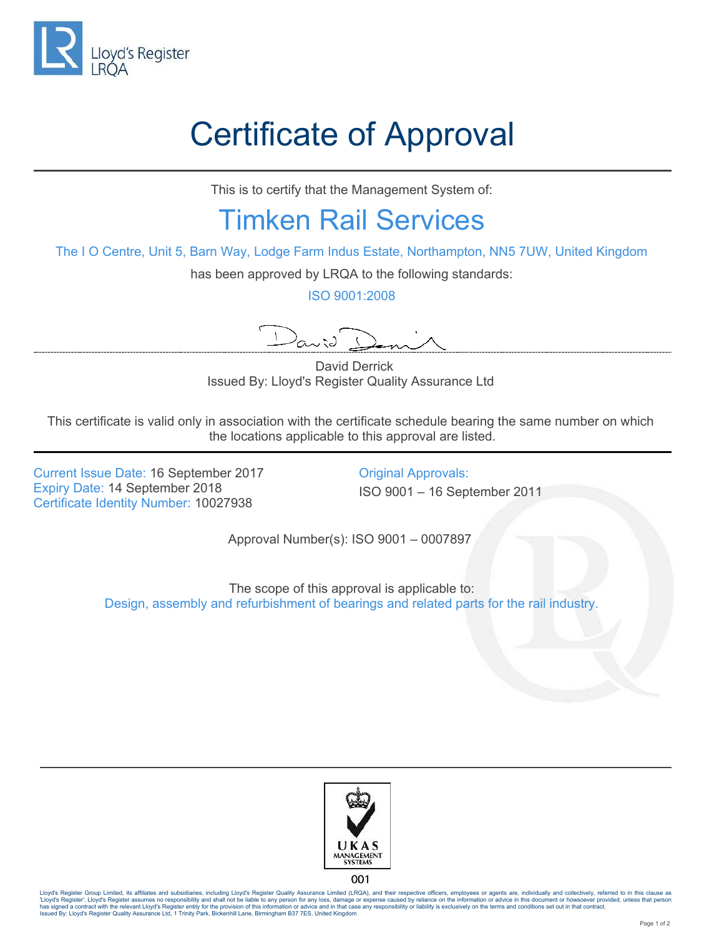

## Certificate of Approval

This is to certify that the Management System of:

## Timken Rail Services

The I O Centre, Unit 5, Barn Way, Lodge Farm Indus Estate, Northampton, NN5 7UW, United Kingdom

has been approved by LRQA to the following standards:

ISO 9001:2008

 $\lambda_{\alpha\mathcal{N}}$ 

 David Derrick Issued By: Lloyd's Register Quality Assurance Ltd

This certificate is valid only in association with the certificate schedule bearing the same number on which the locations applicable to this approval are listed.

Current Issue Date: 16 September 2017 Qriginal Approvals:<br>
Expiry Date: 14 September 2018 Quantity 180 9001 – 16 September 2018 Certificate Identity Number: 10027938

Expiry Date: 14 September 2018 ISO 9001 – 16 September 2011

Approval Number(s): ISO 9001 – 0007897

The scope of this approval is applicable to: Design, assembly and refurbishment of bearings and related parts for the rail industry.



001

Lloyd's Register Group Limited, its affiliates and subsidiaries, including Lloyd's Register Quality Assurance Limited (LRQA), and their respective officers, employees or agents are, individually and collectively, referred